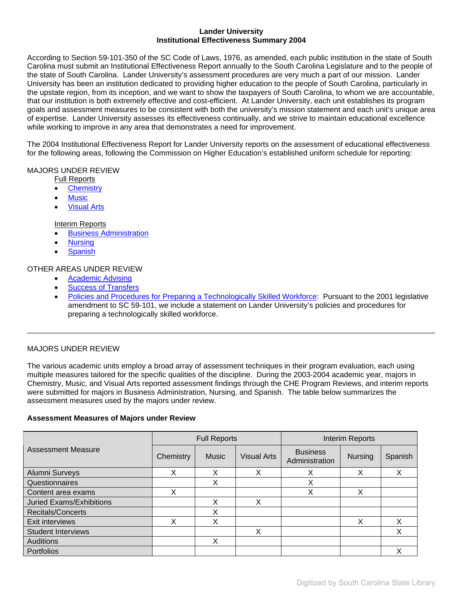## **Lander University Institutional Effectiveness Summary 2004**

According to Section 59-101-350 of the SC Code of Laws, 1976, as amended, each public institution in the state of South Carolina must submit an Institutional Effectiveness Report annually to the South Carolina Legislature and to the people of the state of South Carolina. Lander University's assessment procedures are very much a part of our mission. Lander University has been an institution dedicated to providing higher education to the people of South Carolina, particularly in the upstate region, from its inception, and we want to show the taxpayers of South Carolina, to whom we are accountable, that our institution is both extremely effective and cost-efficient. At Lander University, each unit establishes its program goals and assessment measures to be consistent with both the university's mission statement and each unit's unique area of expertise. Lander University assesses its effectiveness continually, and we strive to maintain educational excellence while working to improve in any area that demonstrates a need for improvement.

The 2004 Institutional Effectiveness Report for Lander University reports on the assessment of educational effectiveness for the following areas, following the Commission on Higher Education's established uniform schedule for reporting:

## MAJORS UNDER REVIEW

Full Reports

- [Chemistry](#page-1-0)
- **[Music](#page-5-0)**
- [Visual Arts](#page-6-0)

# Interim Reports

- [Business Administration](#page-9-0)
- [Nursing](#page-10-0)
- **[Spanish](#page-10-0)**

## OTHER AREAS UNDER REVIEW

- [Academic Advising](#page-12-0)
- [Success of Transfers](2004_SuccessOfTransfers.pdf)
- [Policies and Procedures for Preparing a Technologically Skilled Workforce:](#page-16-0) Pursuant to the 2001 legislative amendment to SC 59-101, we include a statement on Lander University's policies and procedures for preparing a technologically skilled workforce.

# MAJORS UNDER REVIEW

The various academic units employ a broad array of assessment techniques in their program evaluation, each using multiple measures tailored for the specific qualities of the discipline. During the 2003-2004 academic year, majors in Chemistry, Music, and Visual Arts reported assessment findings through the CHE Program Reviews, and interim reports were submitted for majors in Business Administration, Nursing, and Spanish. The table below summarizes the assessment measures used by the majors under review.

## **Assessment Measures of Majors under Review**

|                                 | <b>Full Reports</b> |              |                    | Interim Reports                   |                |         |
|---------------------------------|---------------------|--------------|--------------------|-----------------------------------|----------------|---------|
| <b>Assessment Measure</b>       | Chemistry           | <b>Music</b> | <b>Visual Arts</b> | <b>Business</b><br>Administration | <b>Nursing</b> | Spanish |
| Alumni Surveys                  | Χ                   | Χ            | Χ                  | Χ                                 | Χ              | X       |
| Questionnaires                  |                     | Χ            |                    | Χ                                 |                |         |
| Content area exams              | Χ                   |              |                    | Χ                                 | X              |         |
| <b>Juried Exams/Exhibitions</b> |                     | X            | Χ                  |                                   |                |         |
| Recitals/Concerts               |                     | X            |                    |                                   |                |         |
| Exit interviews                 | Χ                   | X            |                    |                                   | Χ              | x       |
| <b>Student Interviews</b>       |                     |              | Χ                  |                                   |                |         |
| Auditions                       |                     | X            |                    |                                   |                |         |
| <b>Portfolios</b>               |                     |              |                    |                                   |                |         |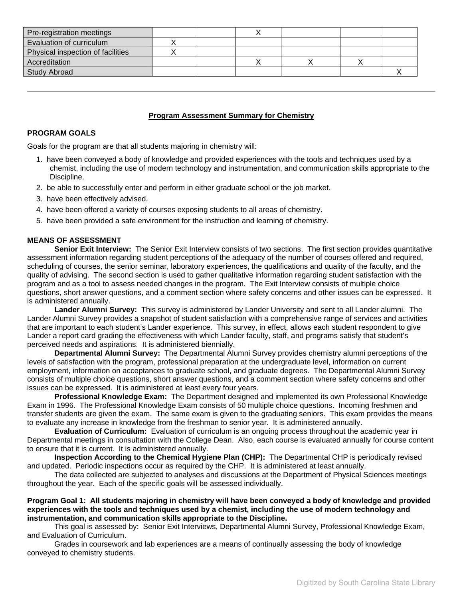<span id="page-1-0"></span>

| Pre-registration meetings         |  |  |  |
|-----------------------------------|--|--|--|
| Evaluation of curriculum          |  |  |  |
| Physical inspection of facilities |  |  |  |
| Accreditation                     |  |  |  |
| <b>Study Abroad</b>               |  |  |  |

## **Program Assessment Summary for Chemistry**

## **PROGRAM GOALS**

Goals for the program are that all students majoring in chemistry will:

- 1. have been conveyed a body of knowledge and provided experiences with the tools and techniques used by a chemist, including the use of modern technology and instrumentation, and communication skills appropriate to the Discipline.
- 2. be able to successfully enter and perform in either graduate school or the job market.
- 3. have been effectively advised.
- 4. have been offered a variety of courses exposing students to all areas of chemistry.
- 5. have been provided a safe environment for the instruction and learning of chemistry.

## **MEANS OF ASSESSMENT**

**Senior Exit Interview:** The Senior Exit Interview consists of two sections. The first section provides quantitative assessment information regarding student perceptions of the adequacy of the number of courses offered and required, scheduling of courses, the senior seminar, laboratory experiences, the qualifications and quality of the faculty, and the quality of advising. The second section is used to gather qualitative information regarding student satisfaction with the program and as a tool to assess needed changes in the program. The Exit Interview consists of multiple choice questions, short answer questions, and a comment section where safety concerns and other issues can be expressed. It is administered annually.

**Lander Alumni Survey:** This survey is administered by Lander University and sent to all Lander alumni. The Lander Alumni Survey provides a snapshot of student satisfaction with a comprehensive range of services and activities that are important to each student's Lander experience. This survey, in effect, allows each student respondent to give Lander a report card grading the effectiveness with which Lander faculty, staff, and programs satisfy that student's perceived needs and aspirations. It is administered biennially.

**Departmental Alumni Survey:** The Departmental Alumni Survey provides chemistry alumni perceptions of the levels of satisfaction with the program, professional preparation at the undergraduate level, information on current employment, information on acceptances to graduate school, and graduate degrees. The Departmental Alumni Survey consists of multiple choice questions, short answer questions, and a comment section where safety concerns and other issues can be expressed. It is administered at least every four years.

**Professional Knowledge Exam:** The Department designed and implemented its own Professional Knowledge Exam in 1996. The Professional Knowledge Exam consists of 50 multiple choice questions. Incoming freshmen and transfer students are given the exam. The same exam is given to the graduating seniors. This exam provides the means to evaluate any increase in knowledge from the freshman to senior year. It is administered annually.

**Evaluation of Curriculum:** Evaluation of curriculum is an ongoing process throughout the academic year in Departmental meetings in consultation with the College Dean. Also, each course is evaluated annually for course content to ensure that it is current. It is administered annually.

**Inspection According to the Chemical Hygiene Plan (CHP):** The Departmental CHP is periodically revised and updated. Periodic inspections occur as required by the CHP. It is administered at least annually.

The data collected are subjected to analyses and discussions at the Department of Physical Sciences meetings throughout the year. Each of the specific goals will be assessed individually.

## **Program Goal 1: All students majoring in chemistry will have been conveyed a body of knowledge and provided experiences with the tools and techniques used by a chemist, including the use of modern technology and instrumentation, and communication skills appropriate to the Discipline.**

 This goal is assessed by: Senior Exit Interviews, Departmental Alumni Survey, Professional Knowledge Exam, and Evaluation of Curriculum.

 Grades in coursework and lab experiences are a means of continually assessing the body of knowledge conveyed to chemistry students.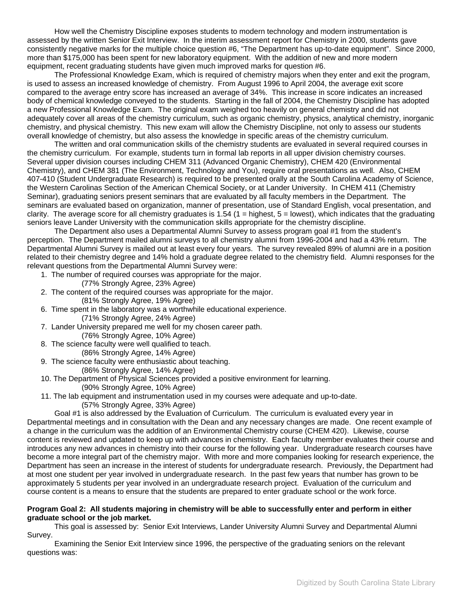How well the Chemistry Discipline exposes students to modern technology and modern instrumentation is assessed by the written Senior Exit Interview. In the interim assessment report for Chemistry in 2000, students gave consistently negative marks for the multiple choice question #6, "The Department has up-to-date equipment". Since 2000, more than \$175,000 has been spent for new laboratory equipment. With the addition of new and more modern equipment, recent graduating students have given much improved marks for question #6.

The Professional Knowledge Exam, which is required of chemistry majors when they enter and exit the program, is used to assess an increased knowledge of chemistry. From August 1996 to April 2004, the average exit score compared to the average entry score has increased an average of 34%. This increase in score indicates an increased body of chemical knowledge conveyed to the students. Starting in the fall of 2004, the Chemistry Discipline has adopted a new Professional Knowledge Exam. The original exam weighed too heavily on general chemistry and did not adequately cover all areas of the chemistry curriculum, such as organic chemistry, physics, analytical chemistry, inorganic chemistry, and physical chemistry. This new exam will allow the Chemistry Discipline, not only to assess our students overall knowledge of chemistry, but also assess the knowledge in specific areas of the chemistry curriculum.

The written and oral communication skills of the chemistry students are evaluated in several required courses in the chemistry curriculum. For example, students turn in formal lab reports in all upper division chemistry courses. Several upper division courses including CHEM 311 (Advanced Organic Chemistry), CHEM 420 (Environmental Chemistry), and CHEM 381 (The Environment, Technology and You), require oral presentations as well. Also, CHEM 407-410 (Student Undergraduate Research) is required to be presented orally at the South Carolina Academy of Science, the Western Carolinas Section of the American Chemical Society, or at Lander University. In CHEM 411 (Chemistry Seminar), graduating seniors present seminars that are evaluated by all faculty members in the Department. The seminars are evaluated based on organization, manner of presentation, use of Standard English, vocal presentation, and clarity. The average score for all chemistry graduates is  $1.54$  ( $1 =$  highest,  $5 =$  lowest), which indicates that the graduating seniors leave Lander University with the communication skills appropriate for the chemistry discipline.

The Department also uses a Departmental Alumni Survey to assess program goal #1 from the student's perception. The Department mailed alumni surveys to all chemistry alumni from 1996-2004 and had a 43% return. The Departmental Alumni Survey is mailed out at least every four years. The survey revealed 89% of alumni are in a position related to their chemistry degree and 14% hold a graduate degree related to the chemistry field. Alumni responses for the relevant questions from the Departmental Alumni Survey were:

- 1. The number of required courses was appropriate for the major.
	- (77% Strongly Agree, 23% Agree)
- 2. The content of the required courses was appropriate for the major. (81% Strongly Agree, 19% Agree)
- 6. Time spent in the laboratory was a worthwhile educational experience.
	- (71% Strongly Agree, 24% Agree)
- 7. Lander University prepared me well for my chosen career path. (76% Strongly Agree, 10% Agree)
- 8. The science faculty were well qualified to teach.
- (86% Strongly Agree, 14% Agree)
- 9. The science faculty were enthusiastic about teaching. (86% Strongly Agree, 14% Agree)
- 10. The Department of Physical Sciences provided a positive environment for learning.
	- (90% Strongly Agree, 10% Agree)
- 11. The lab equipment and instrumentation used in my courses were adequate and up-to-date. (57% Strongly Agree, 33% Agree)

 Goal #1 is also addressed by the Evaluation of Curriculum. The curriculum is evaluated every year in Departmental meetings and in consultation with the Dean and any necessary changes are made. One recent example of a change in the curriculum was the addition of an Environmental Chemistry course (CHEM 420). Likewise, course content is reviewed and updated to keep up with advances in chemistry. Each faculty member evaluates their course and introduces any new advances in chemistry into their course for the following year. Undergraduate research courses have become a more integral part of the chemistry major. With more and more companies looking for research experience, the Department has seen an increase in the interest of students for undergraduate research. Previously, the Department had at most one student per year involved in undergraduate research. In the past few years that number has grown to be approximately 5 students per year involved in an undergraduate research project. Evaluation of the curriculum and course content is a means to ensure that the students are prepared to enter graduate school or the work force.

### **Program Goal 2: All students majoring in chemistry will be able to successfully enter and perform in either graduate school or the job market.**

 This goal is assessed by: Senior Exit Interviews, Lander University Alumni Survey and Departmental Alumni Survey.

Examining the Senior Exit Interview since 1996, the perspective of the graduating seniors on the relevant questions was: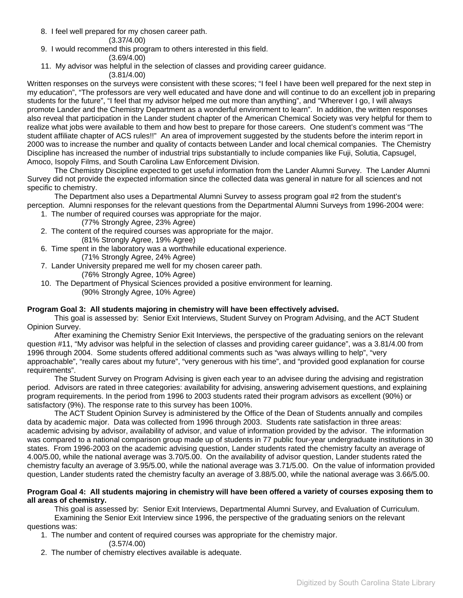8. I feel well prepared for my chosen career path.

## (3.37/4.00)

- 9. I would recommend this program to others interested in this field.
	- (3.69/4.00)
- 11. My advisor was helpful in the selection of classes and providing career guidance.
	- (3.81/4.00)

Written responses on the surveys were consistent with these scores; "I feel I have been well prepared for the next step in my education", "The professors are very well educated and have done and will continue to do an excellent job in preparing students for the future", "I feel that my advisor helped me out more than anything", and "Wherever I go, I will always promote Lander and the Chemistry Department as a wonderful environment to learn". In addition, the written responses also reveal that participation in the Lander student chapter of the American Chemical Society was very helpful for them to realize what jobs were available to them and how best to prepare for those careers. One student's comment was "The student affiliate chapter of ACS rules!!" An area of improvement suggested by the students before the interim report in 2000 was to increase the number and quality of contacts between Lander and local chemical companies. The Chemistry Discipline has increased the number of industrial trips substantially to include companies like Fuji, Solutia, Capsugel, Amoco, Isopoly Films, and South Carolina Law Enforcement Division.

The Chemistry Discipline expected to get useful information from the Lander Alumni Survey. The Lander Alumni Survey did not provide the expected information since the collected data was general in nature for all sciences and not specific to chemistry.

The Department also uses a Departmental Alumni Survey to assess program goal #2 from the student's perception. Alumni responses for the relevant questions from the Departmental Alumni Surveys from 1996-2004 were:

- 1. The number of required courses was appropriate for the major.
	- (77% Strongly Agree, 23% Agree)
- 2. The content of the required courses was appropriate for the major.

(81% Strongly Agree, 19% Agree)

- 6. Time spent in the laboratory was a worthwhile educational experience.
	- (71% Strongly Agree, 24% Agree)
- 7. Lander University prepared me well for my chosen career path.
	- (76% Strongly Agree, 10% Agree)
- 10. The Department of Physical Sciences provided a positive environment for learning. (90% Strongly Agree, 10% Agree)

# **Program Goal 3: All students majoring in chemistry will have been effectively advised.**

 This goal is assessed by: Senior Exit Interviews, Student Survey on Program Advising, and the ACT Student Opinion Survey.

After examining the Chemistry Senior Exit Interviews, the perspective of the graduating seniors on the relevant question #11, "My advisor was helpful in the selection of classes and providing career guidance", was a 3.81/4.00 from 1996 through 2004. Some students offered additional comments such as "was always willing to help", "very approachable", "really cares about my future", "very generous with his time", and "provided good explanation for course requirements".

The Student Survey on Program Advising is given each year to an advisee during the advising and registration period. Advisors are rated in three categories: availability for advising, answering advisement questions, and explaining program requirements. In the period from 1996 to 2003 students rated their program advisors as excellent (90%) or satisfactory (9%). The response rate to this survey has been 100%.

The ACT Student Opinion Survey is administered by the Office of the Dean of Students annually and compiles data by academic major. Data was collected from 1996 through 2003. Students rate satisfaction in three areas: academic advising by advisor, availability of advisor, and value of information provided by the advisor. The information was compared to a national comparison group made up of students in 77 public four-year undergraduate institutions in 30 states. From 1996-2003 on the academic advising question, Lander students rated the chemistry faculty an average of 4.00/5.00, while the national average was 3.70/5.00. On the availability of advisor question, Lander students rated the chemistry faculty an average of 3.95/5.00, while the national average was 3.71/5.00. On the value of information provided question, Lander students rated the chemistry faculty an average of 3.88/5.00, while the national average was 3.66/5.00.

## **Program Goal 4: All students majoring in chemistry will have been offered a variety of courses exposing them to all areas of chemistry.**

 This goal is assessed by: Senior Exit Interviews, Departmental Alumni Survey, and Evaluation of Curriculum. Examining the Senior Exit Interview since 1996, the perspective of the graduating seniors on the relevant questions was:

1. The number and content of required courses was appropriate for the chemistry major.

- (3.57/4.00)
- 2. The number of chemistry electives available is adequate.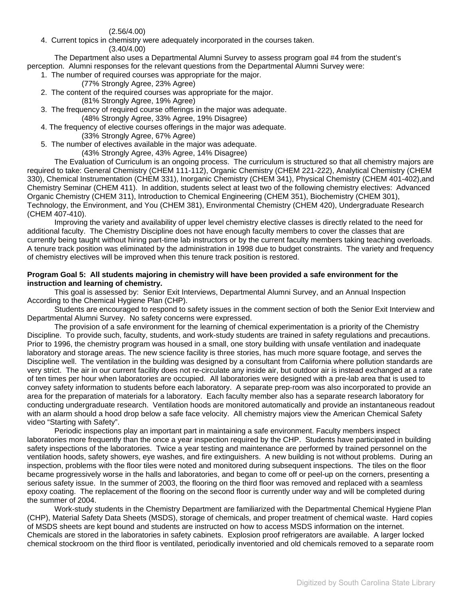(2.56/4.00)

4. Current topics in chemistry were adequately incorporated in the courses taken.

(3.40/4.00)

The Department also uses a Departmental Alumni Survey to assess program goal #4 from the student's perception. Alumni responses for the relevant questions from the Departmental Alumni Survey were:

- 1. The number of required courses was appropriate for the major.
	- (77% Strongly Agree, 23% Agree)
- 2. The content of the required courses was appropriate for the major. (81% Strongly Agree, 19% Agree)
- 3. The frequency of required course offerings in the major was adequate. (48% Strongly Agree, 33% Agree, 19% Disagree)
- 4. The frequency of elective courses offerings in the major was adequate.

(33% Strongly Agree, 67% Agree)

5. The number of electives available in the major was adequate.

(43% Strongly Agree, 43% Agree, 14% Disagree)

The Evaluation of Curriculum is an ongoing process. The curriculum is structured so that all chemistry majors are required to take: General Chemistry (CHEM 111-112), Organic Chemistry (CHEM 221-222), Analytical Chemistry (CHEM 330), Chemical Instrumentation (CHEM 331), Inorganic Chemistry (CHEM 341), Physical Chemistry (CHEM 401-402),and Chemistry Seminar (CHEM 411). In addition, students select at least two of the following chemistry electives: Advanced Organic Chemistry (CHEM 311), Introduction to Chemical Engineering (CHEM 351), Biochemistry (CHEM 301), Technology, the Environment, and You (CHEM 381), Environmental Chemistry (CHEM 420), Undergraduate Research (CHEM 407-410).

Improving the variety and availability of upper level chemistry elective classes is directly related to the need for additional faculty. The Chemistry Discipline does not have enough faculty members to cover the classes that are currently being taught without hiring part-time lab instructors or by the current faculty members taking teaching overloads. A tenure track position was eliminated by the administration in 1998 due to budget constraints. The variety and frequency of chemistry electives will be improved when this tenure track position is restored.

### **Program Goal 5: All students majoring in chemistry will have been provided a safe environment for the instruction and learning of chemistry.**

 This goal is assessed by: Senior Exit Interviews, Departmental Alumni Survey, and an Annual Inspection According to the Chemical Hygiene Plan (CHP).

Students are encouraged to respond to safety issues in the comment section of both the Senior Exit Interview and Departmental Alumni Survey. No safety concerns were expressed.

The provision of a safe environment for the learning of chemical experimentation is a priority of the Chemistry Discipline. To provide such, faculty, students, and work-study students are trained in safety regulations and precautions. Prior to 1996, the chemistry program was housed in a small, one story building with unsafe ventilation and inadequate laboratory and storage areas. The new science facility is three stories, has much more square footage, and serves the Discipline well. The ventilation in the building was designed by a consultant from California where pollution standards are very strict. The air in our current facility does not re-circulate any inside air, but outdoor air is instead exchanged at a rate of ten times per hour when laboratories are occupied. All laboratories were designed with a pre-lab area that is used to convey safety information to students before each laboratory. A separate prep-room was also incorporated to provide an area for the preparation of materials for a laboratory. Each faculty member also has a separate research laboratory for conducting undergraduate research. Ventilation hoods are monitored automatically and provide an instantaneous readout with an alarm should a hood drop below a safe face velocity. All chemistry majors view the American Chemical Safety video "Starting with Safety".

Periodic inspections play an important part in maintaining a safe environment. Faculty members inspect laboratories more frequently than the once a year inspection required by the CHP. Students have participated in building safety inspections of the laboratories. Twice a year testing and maintenance are performed by trained personnel on the ventilation hoods, safety showers, eye washes, and fire extinguishers. A new building is not without problems. During an inspection, problems with the floor tiles were noted and monitored during subsequent inspections. The tiles on the floor became progressively worse in the halls and laboratories, and began to come off or peel-up on the corners, presenting a serious safety issue. In the summer of 2003, the flooring on the third floor was removed and replaced with a seamless epoxy coating. The replacement of the flooring on the second floor is currently under way and will be completed during the summer of 2004.

Work-study students in the Chemistry Department are familiarized with the Departmental Chemical Hygiene Plan (CHP), Material Safety Data Sheets (MSDS), storage of chemicals, and proper treatment of chemical waste. Hard copies of MSDS sheets are kept bound and students are instructed on how to access MSDS information on the internet. Chemicals are stored in the laboratories in safety cabinets. Explosion proof refrigerators are available. A larger locked chemical stockroom on the third floor is ventilated, periodically inventoried and old chemicals removed to a separate room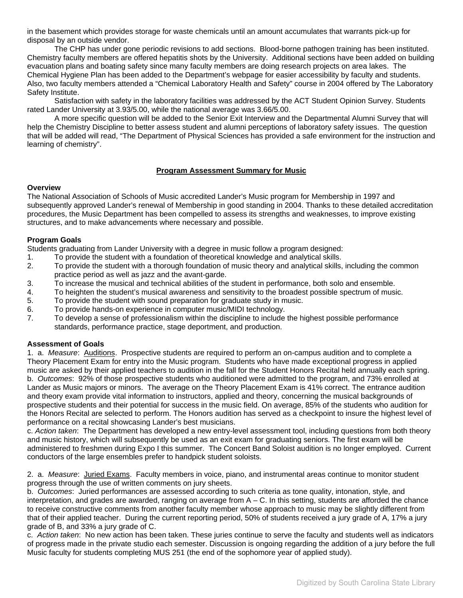<span id="page-5-0"></span>in the basement which provides storage for waste chemicals until an amount accumulates that warrants pick-up for disposal by an outside vendor.

The CHP has under gone periodic revisions to add sections. Blood-borne pathogen training has been instituted. Chemistry faculty members are offered hepatitis shots by the University. Additional sections have been added on building evacuation plans and boating safety since many faculty members are doing research projects on area lakes. The Chemical Hygiene Plan has been added to the Department's webpage for easier accessibility by faculty and students. Also, two faculty members attended a "Chemical Laboratory Health and Safety" course in 2004 offered by The Laboratory Safety Institute.

Satisfaction with safety in the laboratory facilities was addressed by the ACT Student Opinion Survey. Students rated Lander University at 3.93/5.00, while the national average was 3.66/5.00.

A more specific question will be added to the Senior Exit Interview and the Departmental Alumni Survey that will help the Chemistry Discipline to better assess student and alumni perceptions of laboratory safety issues. The question that will be added will read, "The Department of Physical Sciences has provided a safe environment for the instruction and learning of chemistry".

# **Program Assessment Summary for Music**

### **Overview**

The National Association of Schools of Music accredited Lander's Music program for Membership in 1997 and subsequently approved Lander's renewal of Membership in good standing in 2004. Thanks to these detailed accreditation procedures, the Music Department has been compelled to assess its strengths and weaknesses, to improve existing structures, and to make advancements where necessary and possible.

## **Program Goals**

Students graduating from Lander University with a degree in music follow a program designed:

- 1. To provide the student with a foundation of theoretical knowledge and analytical skills.
- 2. To provide the student with a thorough foundation of music theory and analytical skills, including the common practice period as well as jazz and the avant-garde.
- 3. To increase the musical and technical abilities of the student in performance, both solo and ensemble.
- 4. To heighten the student's musical awareness and sensitivity to the broadest possible spectrum of music.
- 5. To provide the student with sound preparation for graduate study in music.
- 6. To provide hands-on experience in computer music/MIDI technology.
- 7. To develop a sense of professionalism within the discipline to include the highest possible performance standards, performance practice, stage deportment, and production.

## **Assessment of Goals**

1. a. *Measure*: Auditions. Prospective students are required to perform an on-campus audition and to complete a Theory Placement Exam for entry into the Music program. Students who have made exceptional progress in applied music are asked by their applied teachers to audition in the fall for the Student Honors Recital held annually each spring. b. *Outcomes*: 92% of those prospective students who auditioned were admitted to the program, and 73% enrolled at Lander as Music majors or minors. The average on the Theory Placement Exam is 41% correct. The entrance audition and theory exam provide vital information to instructors, applied and theory, concerning the musical backgrounds of prospective students and their potential for success in the music field. On average, 85% of the students who audition for the Honors Recital are selected to perform. The Honors audition has served as a checkpoint to insure the highest level of performance on a recital showcasing Lander's best musicians.

c. *Action taken*: The Department has developed a new entry-level assessment tool, including questions from both theory and music history, which will subsequently be used as an exit exam for graduating seniors. The first exam will be administered to freshmen during Expo I this summer. The Concert Band Soloist audition is no longer employed. Current conductors of the large ensembles prefer to handpick student soloists.

2. a. *Measure*: Juried Exams. Faculty members in voice, piano, and instrumental areas continue to monitor student progress through the use of written comments on jury sheets.

b. *Outcomes*: Juried performances are assessed according to such criteria as tone quality, intonation, style, and interpretation, and grades are awarded, ranging on average from  $A - C$ . In this setting, students are afforded the chance to receive constructive comments from another faculty member whose approach to music may be slightly different from that of their applied teacher. During the current reporting period, 50% of students received a jury grade of A, 17% a jury grade of B, and 33% a jury grade of C.

c. *Action taken*: No new action has been taken. These juries continue to serve the faculty and students well as indicators of progress made in the private studio each semester. Discussion is ongoing regarding the addition of a jury before the full Music faculty for students completing MUS 251 (the end of the sophomore year of applied study).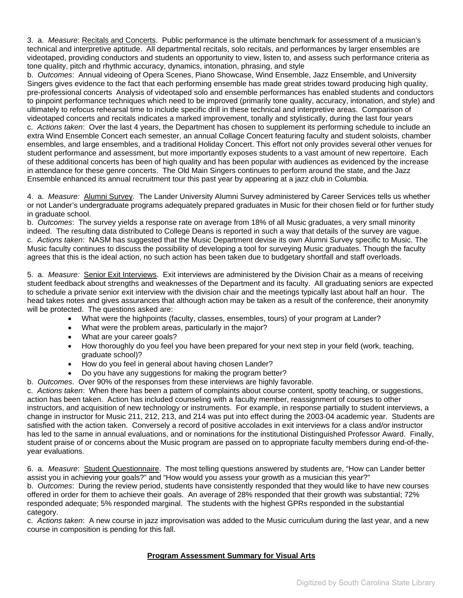<span id="page-6-0"></span>3. a. *Measure*: Recitals and Concerts. Public performance is the ultimate benchmark for assessment of a musician's technical and interpretive aptitude. All departmental recitals, solo recitals, and performances by larger ensembles are videotaped, providing conductors and students an opportunity to view, listen to, and assess such performance criteria as tone quality, pitch and rhythmic accuracy, dynamics, intonation, phrasing, and style

b. *Outcomes*: Annual videoing of Opera Scenes, Piano Showcase, Wind Ensemble, Jazz Ensemble, and University Singers gives evidence to the fact that each performing ensemble has made great strides toward producing high quality, pre-professional concerts Analysis of videotaped solo and ensemble performances has enabled students and conductors to pinpoint performance techniques which need to be improved (primarily tone quality, accuracy, intonation, and style) and ultimately to refocus rehearsal time to include specific drill in these technical and interpretive areas. Comparison of videotaped concerts and recitals indicates a marked improvement, tonally and stylistically, during the last four years c. *Actions taken*: Over the last 4 years, the Department has chosen to supplement its performing schedule to include an extra Wind Ensemble Concert each semester, an annual Collage Concert featuring faculty and student soloists, chamber ensembles, and large ensembles, and a traditional Holiday Concert. This effort not only provides several other venues for student performance and assessment, but more importantly exposes students to a vast amount of new repertoire. Each of these additional concerts has been of high quality and has been popular with audiences as evidenced by the increase in attendance for these genre concerts. The Old Main Singers continues to perform around the state, and the Jazz Ensemble enhanced its annual recruitment tour this past year by appearing at a jazz club in Columbia.

4. a. *Measure:* Alumni Survey. The Lander University Alumni Survey administered by Career Services tells us whether or not Lander's undergraduate programs adequately prepared graduates in Music for their chosen field or for further study in graduate school.

b. *Outcomes*: The survey yields a response rate on average from 18% of all Music graduates, a very small minority indeed. The resulting data distributed to College Deans is reported in such a way that details of the survey are vague. c. *Actions taken*: NASM has suggested that the Music Department devise its own Alumni Survey specific to Music. The Music faculty continues to discuss the possibility of developing a tool for surveying Music graduates. Though the faculty agrees that this is the ideal action, no such action has been taken due to budgetary shortfall and staff overloads.

5. a. *Measure:* Senior Exit Interviews. Exit interviews are administered by the Division Chair as a means of receiving student feedback about strengths and weaknesses of the Department and its faculty. All graduating seniors are expected to schedule a private senior exit interview with the division chair and the meetings typically last about half an hour. The head takes notes and gives assurances that although action may be taken as a result of the conference, their anonymity will be protected. The questions asked are:

- What were the highpoints (faculty, classes, ensembles, tours) of your program at Lander?
- What were the problem areas, particularly in the major?
- What are your career goals?
- How thoroughly do you feel you have been prepared for your next step in your field (work, teaching, graduate school)?
- How do you feel in general about having chosen Lander?
- Do you have any suggestions for making the program better?
- b. *Outcomes*. Over 90% of the responses from these interviews are highly favorable.

c. *Actions taken*: When there has been a pattern of complaints about course content, spotty teaching, or suggestions, action has been taken. Action has included counseling with a faculty member, reassignment of courses to other instructors, and acquisition of new technology or instruments. For example, in response partially to student interviews, a change in instructor for Music 211, 212, 213, and 214 was put into effect during the 2003-04 academic year. Students are satisfied with the action taken. Conversely a record of positive accolades in exit interviews for a class and/or instructor has led to the same in annual evaluations, and or nominations for the institutional Distinguished Professor Award. Finally, student praise of or concerns about the Music program are passed on to appropriate faculty members during end-of-theyear evaluations.

6. a. *Measure*: Student Questionnaire. The most telling questions answered by students are, "How can Lander better assist you in achieving your goals?" and "How would you assess your growth as a musician this year?"

b. *Outcomes*: During the review period, students have consistently responded that they would like to have new courses offered in order for them to achieve their goals. An average of 28% responded that their growth was substantial; 72% responded adequate; 5% responded marginal. The students with the highest GPRs responded in the substantial category.

c. *Actions taken*: A new course in jazz improvisation was added to the Music curriculum during the last year, and a new course in composition is pending for this fall.

# **Program Assessment Summary for Visual Arts**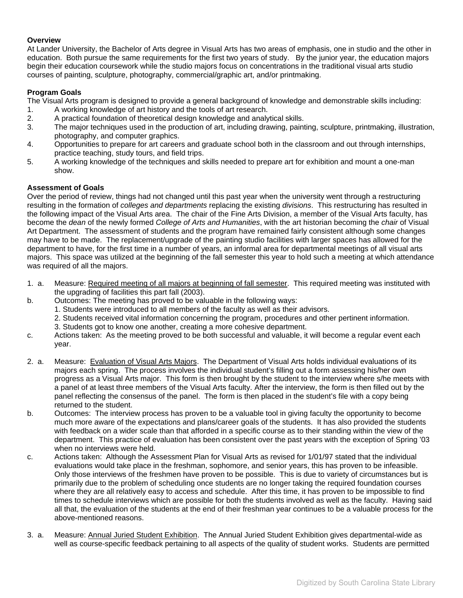## **Overview**

At Lander University, the Bachelor of Arts degree in Visual Arts has two areas of emphasis, one in studio and the other in education. Both pursue the same requirements for the first two years of study. By the junior year, the education majors begin their education coursework while the studio majors focus on concentrations in the traditional visual arts studio courses of painting, sculpture, photography, commercial/graphic art, and/or printmaking.

# **Program Goals**

The Visual Arts program is designed to provide a general background of knowledge and demonstrable skills including:

- 1. A working knowledge of art history and the tools of art research.
- 2. A practical foundation of theoretical design knowledge and analytical skills.
- 3. The major techniques used in the production of art, including drawing, painting, sculpture, printmaking, illustration, photography, and computer graphics.
- 4. Opportunities to prepare for art careers and graduate school both in the classroom and out through internships, practice teaching, study tours, and field trips.
- 5. A working knowledge of the techniques and skills needed to prepare art for exhibition and mount a one-man show.

## **Assessment of Goals**

Over the period of review, things had not changed until this past year when the university went through a restructuring resulting in the formation of *colleges and departments* replacing the existing *divisions*. This restructuring has resulted in the following impact of the Visual Arts area. The chair of the Fine Arts Division, a member of the Visual Arts faculty, has become the *dean* of the newly formed *College of Arts and Humanities*, with the art historian becoming the *chair* of Visual Art Department. The assessment of students and the program have remained fairly consistent although some changes may have to be made. The replacement/upgrade of the painting studio facilities with larger spaces has allowed for the department to have, for the first time in a number of years, an informal area for departmental meetings of all visual arts majors. This space was utilized at the beginning of the fall semester this year to hold such a meeting at which attendance was required of all the majors.

- 1. a. Measure: Required meeting of all majors at beginning of fall semester. This required meeting was instituted with the upgrading of facilities this part fall (2003).
- b. Outcomes: The meeting has proved to be valuable in the following ways:
	- 1. Students were introduced to all members of the faculty as well as their advisors.
	- 2. Students received vital information concerning the program, procedures and other pertinent information.
	- 3. Students got to know one another, creating a more cohesive department.
- c. Actions taken: As the meeting proved to be both successful and valuable, it will become a regular event each year.
- 2. a. Measure: Evaluation of Visual Arts Majors. The Department of Visual Arts holds individual evaluations of its majors each spring. The process involves the individual student's filling out a form assessing his/her own progress as a Visual Arts major. This form is then brought by the student to the interview where s/he meets with a panel of at least three members of the Visual Arts faculty. After the interview, the form is then filled out by the panel reflecting the consensus of the panel. The form is then placed in the student's file with a copy being returned to the student.
- b. Outcomes: The interview process has proven to be a valuable tool in giving faculty the opportunity to become much more aware of the expectations and plans/career goals of the students. It has also provided the students with feedback on a wider scale than that afforded in a specific course as to their standing within the view of the department. This practice of evaluation has been consistent over the past years with the exception of Spring '03 when no interviews were held.
- c. Actions taken: Although the Assessment Plan for Visual Arts as revised for 1/01/97 stated that the individual evaluations would take place in the freshman, sophomore, and senior years, this has proven to be infeasible. Only those interviews of the freshmen have proven to be possible. This is due to variety of circumstances but is primarily due to the problem of scheduling once students are no longer taking the required foundation courses where they are all relatively easy to access and schedule. After this time, it has proven to be impossible to find times to schedule interviews which are possible for both the students involved as well as the faculty. Having said all that, the evaluation of the students at the end of their freshman year continues to be a valuable process for the above-mentioned reasons.
- 3. a. Measure: Annual Juried Student Exhibition. The Annual Juried Student Exhibition gives departmental-wide as well as course-specific feedback pertaining to all aspects of the quality of student works. Students are permitted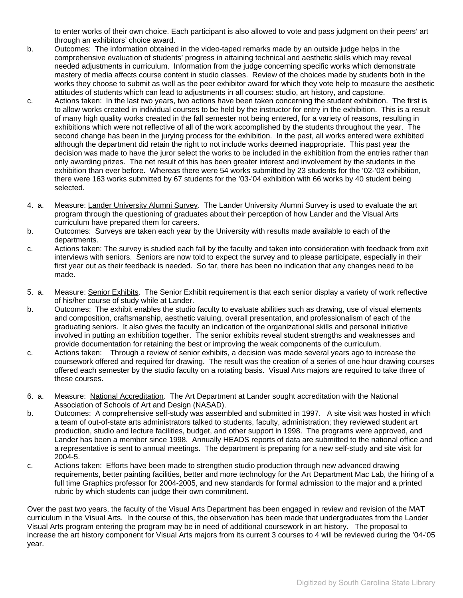to enter works of their own choice. Each participant is also allowed to vote and pass judgment on their peers' art through an exhibitors' choice award.

- b. Outcomes: The information obtained in the video-taped remarks made by an outside judge helps in the comprehensive evaluation of students' progress in attaining technical and aesthetic skills which may reveal needed adjustments in curriculum. Information from the judge concerning specific works which demonstrate mastery of media affects course content in studio classes. Review of the choices made by students both in the works they choose to submit as well as the peer exhibitor award for which they vote help to measure the aesthetic attitudes of students which can lead to adjustments in all courses: studio, art history, and capstone.
- c. Actions taken: In the last two years, two actions have been taken concerning the student exhibition. The first is to allow works created in individual courses to be held by the instructor for entry in the exhibition. This is a result of many high quality works created in the fall semester not being entered, for a variety of reasons, resulting in exhibitions which were not reflective of all of the work accomplished by the students throughout the year. The second change has been in the jurying process for the exhibition. In the past, all works entered were exhibited although the department did retain the right to not include works deemed inappropriate. This past year the decision was made to have the juror select the works to be included in the exhibition from the entries rather than only awarding prizes. The net result of this has been greater interest and involvement by the students in the exhibition than ever before. Whereas there were 54 works submitted by 23 students for the '02-'03 exhibition, there were 163 works submitted by 67 students for the '03-'04 exhibition with 66 works by 40 student being selected.
- 4. a. Measure: Lander University Alumni Survey. The Lander University Alumni Survey is used to evaluate the art program through the questioning of graduates about their perception of how Lander and the Visual Arts curriculum have prepared them for careers.
- b. Outcomes: Surveys are taken each year by the University with results made available to each of the departments.
- c. Actions taken: The survey is studied each fall by the faculty and taken into consideration with feedback from exit interviews with seniors. Seniors are now told to expect the survey and to please participate, especially in their first year out as their feedback is needed. So far, there has been no indication that any changes need to be made.
- 5. a. Measure: Senior Exhibits. The Senior Exhibit requirement is that each senior display a variety of work reflective of his/her course of study while at Lander.
- b. Outcomes: The exhibit enables the studio faculty to evaluate abilities such as drawing, use of visual elements and composition, craftsmanship, aesthetic valuing, overall presentation, and professionalism of each of the graduating seniors. It also gives the faculty an indication of the organizational skills and personal initiative involved in putting an exhibition together. The senior exhibits reveal student strengths and weaknesses and provide documentation for retaining the best or improving the weak components of the curriculum.
- c. Actions taken: Through a review of senior exhibits, a decision was made several years ago to increase the coursework offered and required for drawing. The result was the creation of a series of one hour drawing courses offered each semester by the studio faculty on a rotating basis. Visual Arts majors are required to take three of these courses.
- 6. a. Measure: National Accreditation. The Art Department at Lander sought accreditation with the National Association of Schools of Art and Design (NASAD).
- b. Outcomes: A comprehensive self-study was assembled and submitted in 1997. A site visit was hosted in which a team of out-of-state arts administrators talked to students, faculty, administration; they reviewed student art production, studio and lecture facilities, budget, and other support in 1998. The programs were approved, and Lander has been a member since 1998. Annually HEADS reports of data are submitted to the national office and a representative is sent to annual meetings. The department is preparing for a new self-study and site visit for 2004-5.
- c. Actions taken: Efforts have been made to strengthen studio production through new advanced drawing requirements, better painting facilities, better and more technology for the Art Department Mac Lab, the hiring of a full time Graphics professor for 2004-2005, and new standards for formal admission to the major and a printed rubric by which students can judge their own commitment.

Over the past two years, the faculty of the Visual Arts Department has been engaged in review and revision of the MAT curriculum in the Visual Arts. In the course of this, the observation has been made that undergraduates from the Lander Visual Arts program entering the program may be in need of additional coursework in art history. The proposal to increase the art history component for Visual Arts majors from its current 3 courses to 4 will be reviewed during the '04-'05 year.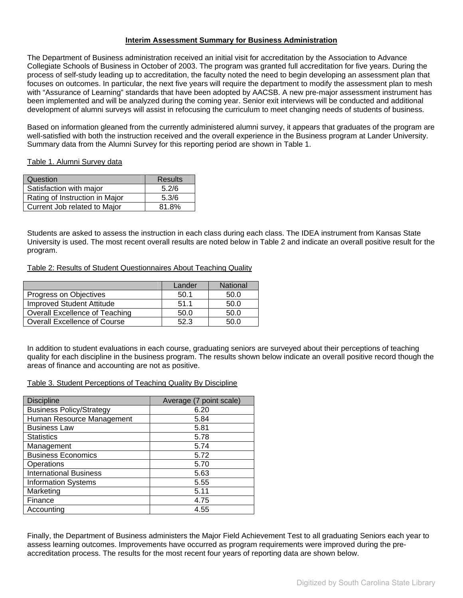## **Interim Assessment Summary for Business Administration**

<span id="page-9-0"></span>The Department of Business administration received an initial visit for accreditation by the Association to Advance Collegiate Schools of Business in October of 2003. The program was granted full accreditation for five years. During the process of self-study leading up to accreditation, the faculty noted the need to begin developing an assessment plan that focuses on outcomes. In particular, the next five years will require the department to modify the assessment plan to mesh with "Assurance of Learning" standards that have been adopted by AACSB. A new pre-major assessment instrument has been implemented and will be analyzed during the coming year. Senior exit interviews will be conducted and additional development of alumni surveys will assist in refocusing the curriculum to meet changing needs of students of business.

Based on information gleaned from the currently administered alumni survey, it appears that graduates of the program are well-satisfied with both the instruction received and the overall experience in the Business program at Lander University. Summary data from the Alumni Survey for this reporting period are shown in Table 1.

Table 1. Alumni Survey data

| Question                       | Results |
|--------------------------------|---------|
| Satisfaction with major        | 5.2/6   |
| Rating of Instruction in Major | 5.3/6   |
| Current Job related to Major   | 81.8%   |

Students are asked to assess the instruction in each class during each class. The IDEA instrument from Kansas State University is used. The most recent overall results are noted below in Table 2 and indicate an overall positive result for the program.

Table 2: Results of Student Questionnaires About Teaching Quality

|                                       | Lander | <b>National</b> |
|---------------------------------------|--------|-----------------|
| Progress on Objectives                | 50.1   | 50.0            |
| <b>Improved Student Attitude</b>      | 51.1   | 50.0            |
| <b>Overall Excellence of Teaching</b> | 50.0   | 50.0            |
| <b>Overall Excellence of Course</b>   | 523    | .50 O           |

In addition to student evaluations in each course, graduating seniors are surveyed about their perceptions of teaching quality for each discipline in the business program. The results shown below indicate an overall positive record though the areas of finance and accounting are not as positive.

Table 3. Student Perceptions of Teaching Quality By Discipline

| <b>Discipline</b>               | Average (7 point scale) |
|---------------------------------|-------------------------|
| <b>Business Policy/Strategy</b> | 6.20                    |
| Human Resource Management       | 5.84                    |
| <b>Business Law</b>             | 5.81                    |
| <b>Statistics</b>               | 5.78                    |
| Management                      | 5.74                    |
| <b>Business Economics</b>       | 5.72                    |
| Operations                      | 5.70                    |
| <b>International Business</b>   | 5.63                    |
| <b>Information Systems</b>      | 5.55                    |
| Marketing                       | 5.11                    |
| Finance                         | 4.75                    |
| Accounting                      | 4.55                    |

Finally, the Department of Business administers the Major Field Achievement Test to all graduating Seniors each year to assess learning outcomes. Improvements have occurred as program requirements were improved during the preaccreditation process. The results for the most recent four years of reporting data are shown below.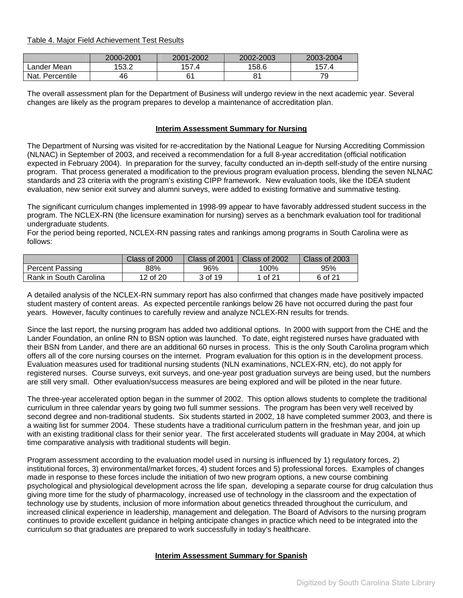<span id="page-10-0"></span>Table 4. Major Field Achievement Test Results

|                 | 2000-2001 | 2001-2002 | 2002-2003 | 2003-2004 |
|-----------------|-----------|-----------|-----------|-----------|
| ∟ander Mean     | 153.2     | 157.4     | 158.6     | 157.4     |
| Nat. Percentile | 46        | 61        |           | 79        |

The overall assessment plan for the Department of Business will undergo review in the next academic year. Several changes are likely as the program prepares to develop a maintenance of accreditation plan.

# **Interim Assessment Summary for Nursing**

The Department of Nursing was visited for re-accreditation by the National League for Nursing Accrediting Commission (NLNAC) in September of 2003, and received a recommendation for a full 8-year accreditation (official notification expected in February 2004). In preparation for the survey, faculty conducted an in-depth self-study of the entire nursing program. That process generated a modification to the previous program evaluation process, blending the seven NLNAC standards and 23 criteria with the program's existing CIPP framework. New evaluation tools, like the IDEA student evaluation, new senior exit survey and alumni surveys, were added to existing formative and summative testing.

The significant curriculum changes implemented in 1998-99 appear to have favorably addressed student success in the program. The NCLEX-RN (the licensure examination for nursing) serves as a benchmark evaluation tool for traditional undergraduate students.

For the period being reported, NCLEX-RN passing rates and rankings among programs in South Carolina were as follows:

|                        | Class of 2000 | Class of 2001 | Class of 2002 | Class of 2003 |
|------------------------|---------------|---------------|---------------|---------------|
| Percent Passing        | 88%           | 96%           | 100%          | 95%           |
| Rank in South Carolina | 12 of 20      | 3 of 19       | 1 of 21       | 6 of 21       |

A detailed analysis of the NCLEX-RN summary report has also confirmed that changes made have positively impacted student mastery of content areas. As expected percentile rankings below 26 have not occurred during the past four years. However, faculty continues to carefully review and analyze NCLEX-RN results for trends.

Since the last report, the nursing program has added two additional options. In 2000 with support from the CHE and the Lander Foundation, an online RN to BSN option was launched. To date, eight registered nurses have graduated with their BSN from Lander, and there are an additional 60 nurses in process. This is the only South Carolina program which offers all of the core nursing courses on the internet. Program evaluation for this option is in the development process. Evaluation measures used for traditional nursing students (NLN examinations, NCLEX-RN, etc), do not apply for registered nurses. Course surveys, exit surveys, and one-year post graduation surveys are being used, but the numbers are still very small. Other evaluation/success measures are being explored and will be piloted in the near future.

The three-year accelerated option began in the summer of 2002. This option allows students to complete the traditional curriculum in three calendar years by going two full summer sessions. The program has been very well received by second degree and non-traditional students. Six students started in 2002, 18 have completed summer 2003, and there is a waiting list for summer 2004. These students have a traditional curriculum pattern in the freshman year, and join up with an existing traditional class for their senior year. The first accelerated students will graduate in May 2004, at which time comparative analysis with traditional students will begin.

Program assessment according to the evaluation model used in nursing is influenced by 1) regulatory forces, 2) institutional forces, 3) environmental/market forces, 4) student forces and 5) professional forces. Examples of changes made in response to these forces include the initiation of two new program options, a new course combining psychological and physiological development across the life span, developing a separate course for drug calculation thus giving more time for the study of pharmacology, increased use of technology in the classroom and the expectation of technology use by students, inclusion of more information about genetics threaded throughout the curriculum, and increased clinical experience in leadership, management and delegation. The Board of Advisors to the nursing program continues to provide excellent guidance in helping anticipate changes in practice which need to be integrated into the curriculum so that graduates are prepared to work successfully in today's healthcare.

### **Interim Assessment Summary for Spanish**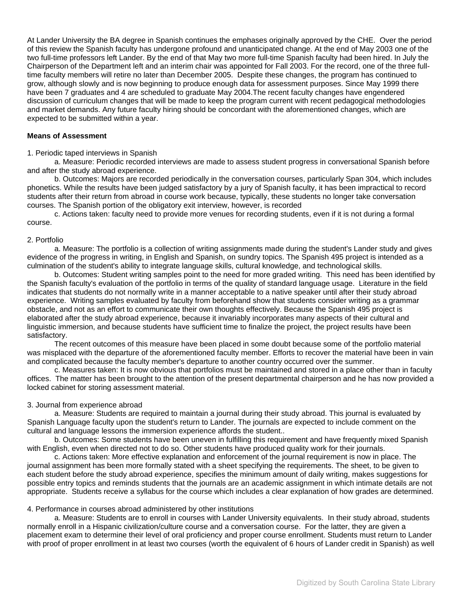At Lander University the BA degree in Spanish continues the emphases originally approved by the CHE. Over the period of this review the Spanish faculty has undergone profound and unanticipated change. At the end of May 2003 one of the two full-time professors left Lander. By the end of that May two more full-time Spanish faculty had been hired. In July the Chairperson of the Department left and an interim chair was appointed for Fall 2003. For the record, one of the three fulltime faculty members will retire no later than December 2005. Despite these changes, the program has continued to grow, although slowly and is now beginning to produce enough data for assessment purposes. Since May 1999 there have been 7 graduates and 4 are scheduled to graduate May 2004.The recent faculty changes have engendered discussion of curriculum changes that will be made to keep the program current with recent pedagogical methodologies and market demands. Any future faculty hiring should be concordant with the aforementioned changes, which are expected to be submitted within a year.

### **Means of Assessment**

### 1. Periodic taped interviews in Spanish

 a. Measure: Periodic recorded interviews are made to assess student progress in conversational Spanish before and after the study abroad experience.

 b. Outcomes: Majors are recorded periodically in the conversation courses, particularly Span 304, which includes phonetics. While the results have been judged satisfactory by a jury of Spanish faculty, it has been impractical to record students after their return from abroad in course work because, typically, these students no longer take conversation courses. The Spanish portion of the obligatory exit interview, however, is recorded

 c. Actions taken: faculty need to provide more venues for recording students, even if it is not during a formal course.

#### 2. Portfolio

 a. Measure: The portfolio is a collection of writing assignments made during the student's Lander study and gives evidence of the progress in writing, in English and Spanish, on sundry topics. The Spanish 495 project is intended as a culmination of the student's ability to integrate language skills, cultural knowledge, and technological skills.

 b. Outcomes: Student writing samples point to the need for more graded writing. This need has been identified by the Spanish faculty's evaluation of the portfolio in terms of the quality of standard language usage. Literature in the field indicates that students do not normally write in a manner acceptable to a native speaker until after their study abroad experience. Writing samples evaluated by faculty from beforehand show that students consider writing as a grammar obstacle, and not as an effort to communicate their own thoughts effectively. Because the Spanish 495 project is elaborated after the study abroad experience, because it invariably incorporates many aspects of their cultural and linguistic immersion, and because students have sufficient time to finalize the project, the project results have been satisfactory.

 The recent outcomes of this measure have been placed in some doubt because some of the portfolio material was misplaced with the departure of the aforementioned faculty member. Efforts to recover the material have been in vain and complicated because the faculty member's departure to another country occurred over the summer.

 c. Measures taken: It is now obvious that portfolios must be maintained and stored in a place other than in faculty offices. The matter has been brought to the attention of the present departmental chairperson and he has now provided a locked cabinet for storing assessment material.

## 3. Journal from experience abroad

 a. Measure: Students are required to maintain a journal during their study abroad. This journal is evaluated by Spanish Language faculty upon the student's return to Lander. The journals are expected to include comment on the cultural and language lessons the immersion experience affords the student..

 b. Outcomes: Some students have been uneven in fulfilling this requirement and have frequently mixed Spanish with English, even when directed not to do so. Other students have produced quality work for their journals.

 c. Actions taken: More effective explanation and enforcement of the journal requirement is now in place. The journal assignment has been more formally stated with a sheet specifying the requirements. The sheet, to be given to each student before the study abroad experience, specifies the minimum amount of daily writing, makes suggestions for possible entry topics and reminds students that the journals are an academic assignment in which intimate details are not appropriate. Students receive a syllabus for the course which includes a clear explanation of how grades are determined.

## 4. Performance in courses abroad administered by other institutions

 a. Measure: Students are to enroll in courses with Lander University equivalents. In their study abroad, students normally enroll in a Hispanic civilization/culture course and a conversation course. For the latter, they are given a placement exam to determine their level of oral proficiency and proper course enrollment. Students must return to Lander with proof of proper enrollment in at least two courses (worth the equivalent of 6 hours of Lander credit in Spanish) as well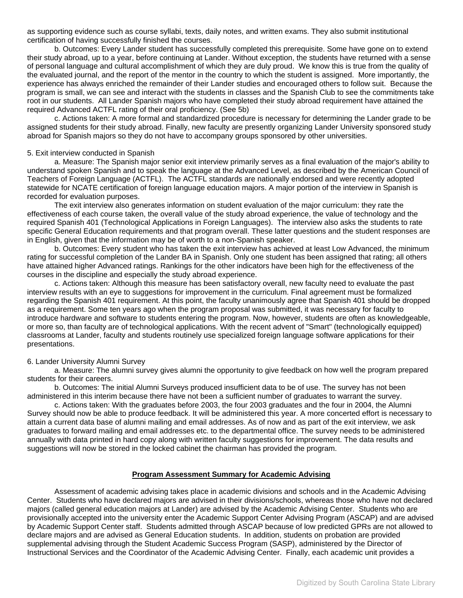<span id="page-12-0"></span>as supporting evidence such as course syllabi, texts, daily notes, and written exams. They also submit institutional certification of having successfully finished the courses.

 b. Outcomes: Every Lander student has successfully completed this prerequisite. Some have gone on to extend their study abroad, up to a year, before continuing at Lander. Without exception, the students have returned with a sense of personal language and cultural accomplishment of which they are duly proud. We know this is true from the quality of the evaluated journal, and the report of the mentor in the country to which the student is assigned. More importantly, the experience has always enriched the remainder of their Lander studies and encouraged others to follow suit. Because the program is small, we can see and interact with the students in classes and the Spanish Club to see the commitments take root in our students. All Lander Spanish majors who have completed their study abroad requirement have attained the required Advanced ACTFL rating of their oral proficiency. (See 5b)

c. Actions taken: A more formal and standardized procedure is necessary for determining the Lander grade to be assigned students for their study abroad. Finally, new faculty are presently organizing Lander University sponsored study abroad for Spanish majors so they do not have to accompany groups sponsored by other universities.

### 5. Exit interview conducted in Spanish

a. Measure: The Spanish major senior exit interview primarily serves as a final evaluation of the major's ability to understand spoken Spanish and to speak the language at the Advanced Level, as described by the American Council of Teachers of Foreign Language (ACTFL). The ACTFL standards are nationally endorsed and were recently adopted statewide for NCATE certification of foreign language education majors. A major portion of the interview in Spanish is recorded for evaluation purposes.

The exit interview also generates information on student evaluation of the major curriculum: they rate the effectiveness of each course taken, the overall value of the study abroad experience, the value of technology and the required Spanish 401 (Technological Applications in Foreign Languages). The interview also asks the students to rate specific General Education requirements and that program overall. These latter questions and the student responses are in English, given that the information may be of worth to a non-Spanish speaker.

b. Outcomes: Every student who has taken the exit interview has achieved at least Low Advanced, the minimum rating for successful completion of the Lander BA in Spanish. Only one student has been assigned that rating; all others have attained higher Advanced ratings. Rankings for the other indicators have been high for the effectiveness of the courses in the discipline and especially the study abroad experience.

c. Actions taken: Although this measure has been satisfactory overall, new faculty need to evaluate the past interview results with an eye to suggestions for improvement in the curriculum. Final agreement must be formalized regarding the Spanish 401 requirement. At this point, the faculty unanimously agree that Spanish 401 should be dropped as a requirement. Some ten years ago when the program proposal was submitted, it was necessary for faculty to introduce hardware and software to students entering the program. Now, however, students are often as knowledgeable, or more so, than faculty are of technological applications. With the recent advent of "Smart" (technologically equipped) classrooms at Lander, faculty and students routinely use specialized foreign language software applications for their presentations.

### 6. Lander University Alumni Survey

 a. Measure: The alumni survey gives alumni the opportunity to give feedback on how well the program prepared students for their careers.

 b. Outcomes: The initial Alumni Surveys produced insufficient data to be of use. The survey has not been administered in this interim because there have not been a sufficient number of graduates to warrant the survey.

 c. Actions taken: With the graduates before 2003, the four 2003 graduates and the four in 2004, the Alumni Survey should now be able to produce feedback. It will be administered this year. A more concerted effort is necessary to attain a current data base of alumni mailing and email addresses. As of now and as part of the exit interview, we ask graduates to forward mailing and email addresses etc. to the departmental office. The survey needs to be administered annually with data printed in hard copy along with written faculty suggestions for improvement. The data results and suggestions will now be stored in the locked cabinet the chairman has provided the program.

### **Program Assessment Summary for Academic Advising**

 Assessment of academic advising takes place in academic divisions and schools and in the Academic Advising Center. Students who have declared majors are advised in their divisions/schools, whereas those who have not declared majors (called general education majors at Lander) are advised by the Academic Advising Center. Students who are provisionally accepted into the university enter the Academic Support Center Advising Program (ASCAP) and are advised by Academic Support Center staff. Students admitted through ASCAP because of low predicted GPRs are not allowed to declare majors and are advised as General Education students. In addition, students on probation are provided supplemental advising through the Student Academic Success Program (SASP), administered by the Director of Instructional Services and the Coordinator of the Academic Advising Center. Finally, each academic unit provides a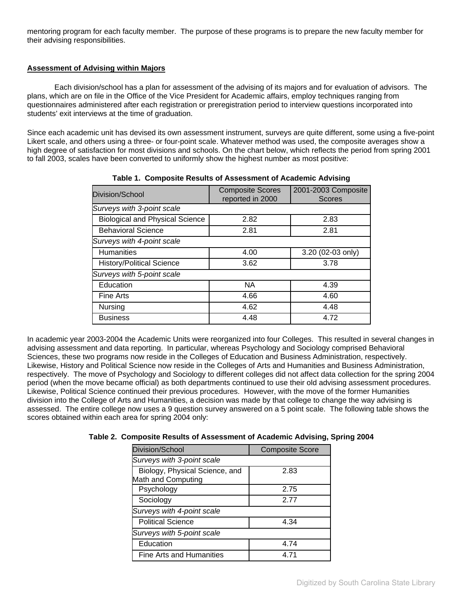mentoring program for each faculty member. The purpose of these programs is to prepare the new faculty member for their advising responsibilities.

# **Assessment of Advising within Majors**

 Each division/school has a plan for assessment of the advising of its majors and for evaluation of advisors. The plans, which are on file in the Office of the Vice President for Academic affairs, employ techniques ranging from questionnaires administered after each registration or preregistration period to interview questions incorporated into students' exit interviews at the time of graduation.

Since each academic unit has devised its own assessment instrument, surveys are quite different, some using a five-point Likert scale, and others using a three- or four-point scale. Whatever method was used, the composite averages show a high degree of satisfaction for most divisions and schools. On the chart below, which reflects the period from spring 2001 to fall 2003, scales have been converted to uniformly show the highest number as most positive:

| Division/School                        | <b>Composite Scores</b><br>reported in 2000 | 2001-2003 Composite<br><b>Scores</b> |
|----------------------------------------|---------------------------------------------|--------------------------------------|
| Surveys with 3-point scale             |                                             |                                      |
| <b>Biological and Physical Science</b> | 2.82                                        | 2.83                                 |
| <b>Behavioral Science</b>              | 2.81                                        | 2.81                                 |
| Surveys with 4-point scale             |                                             |                                      |
| <b>Humanities</b>                      | 4.00                                        | 3.20 (02-03 only)                    |
| <b>History/Political Science</b>       | 3.62                                        | 3.78                                 |
| Surveys with 5-point scale             |                                             |                                      |
| Education                              | <b>NA</b>                                   | 4.39                                 |
| <b>Fine Arts</b>                       | 4.66                                        | 4.60                                 |
| Nursing                                | 4.62                                        | 4.48                                 |
| <b>Business</b>                        | 4.48                                        | 4.72                                 |

**Table 1. Composite Results of Assessment of Academic Advising**

In academic year 2003-2004 the Academic Units were reorganized into four Colleges. This resulted in several changes in advising assessment and data reporting. In particular, whereas Psychology and Sociology comprised Behavioral Sciences, these two programs now reside in the Colleges of Education and Business Administration, respectively. Likewise, History and Political Science now reside in the Colleges of Arts and Humanities and Business Administration, respectively. The move of Psychology and Sociology to different colleges did not affect data collection for the spring 2004 period (when the move became official) as both departments continued to use their old advising assessment procedures. Likewise, Political Science continued their previous procedures. However, with the move of the former Humanities division into the College of Arts and Humanities, a decision was made by that college to change the way advising is assessed. The entire college now uses a 9 question survey answered on a 5 point scale. The following table shows the scores obtained within each area for spring 2004 only:

| <b>Division/School</b>                               | <b>Composite Score</b> |
|------------------------------------------------------|------------------------|
| Surveys with 3-point scale                           |                        |
| Biology, Physical Science, and<br>Math and Computing | 2.83                   |
| Psychology                                           | 2.75                   |
| Sociology                                            | 2 77                   |
| Surveys with 4-point scale                           |                        |
| <b>Political Science</b>                             | 4.34                   |
| Surveys with 5-point scale                           |                        |
| Education                                            | 4.74                   |
| <b>Fine Arts and Humanities</b>                      | 4 71                   |

**Table 2. Composite Results of Assessment of Academic Advising, Spring 2004**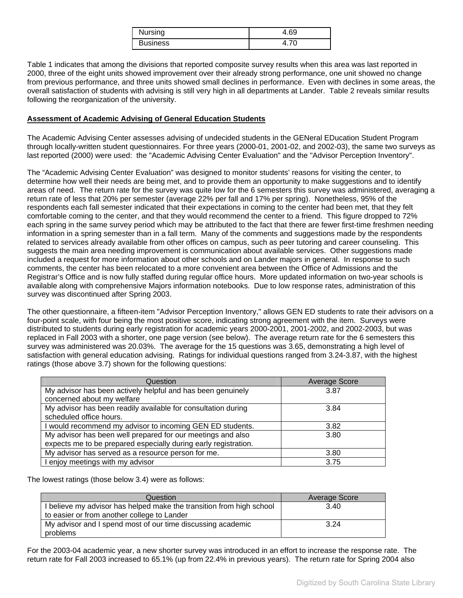| Nursing         | +.69 |
|-----------------|------|
| <b>Business</b> |      |

Table 1 indicates that among the divisions that reported composite survey results when this area was last reported in 2000, three of the eight units showed improvement over their already strong performance, one unit showed no change from previous performance, and three units showed small declines in performance. Even with declines in some areas, the overall satisfaction of students with advising is still very high in all departments at Lander. Table 2 reveals similar results following the reorganization of the university.

# **Assessment of Academic Advising of General Education Students**

The Academic Advising Center assesses advising of undecided students in the GENeral EDucation Student Program through locally-written student questionnaires. For three years (2000-01, 2001-02, and 2002-03), the same two surveys as last reported (2000) were used: the "Academic Advising Center Evaluation" and the "Advisor Perception Inventory".

The "Academic Advising Center Evaluation" was designed to monitor students' reasons for visiting the center, to determine how well their needs are being met, and to provide them an opportunity to make suggestions and to identify areas of need. The return rate for the survey was quite low for the 6 semesters this survey was administered, averaging a return rate of less that 20% per semester (average 22% per fall and 17% per spring). Nonetheless, 95% of the respondents each fall semester indicated that their expectations in coming to the center had been met, that they felt comfortable coming to the center, and that they would recommend the center to a friend. This figure dropped to 72% each spring in the same survey period which may be attributed to the fact that there are fewer first-time freshmen needing information in a spring semester than in a fall term. Many of the comments and suggestions made by the respondents related to services already available from other offices on campus, such as peer tutoring and career counseling. This suggests the main area needing improvement is communication about available services. Other suggestions made included a request for more information about other schools and on Lander majors in general. In response to such comments, the center has been relocated to a more convenient area between the Office of Admissions and the Registrar's Office and is now fully staffed during regular office hours. More updated information on two-year schools is available along with comprehensive Majors information notebooks. Due to low response rates, administration of this survey was discontinued after Spring 2003.

The other questionnaire, a fifteen-item "Advisor Perception Inventory," allows GEN ED students to rate their advisors on a four-point scale, with four being the most positive score, indicating strong agreement with the item. Surveys were distributed to students during early registration for academic years 2000-2001, 2001-2002, and 2002-2003, but was replaced in Fall 2003 with a shorter, one page version (see below). The average return rate for the 6 semesters this survey was administered was 20.03%. The average for the 15 questions was 3.65, demonstrating a high level of satisfaction with general education advising. Ratings for individual questions ranged from 3.24-3.87, with the highest ratings (those above 3.7) shown for the following questions:

| Question                                                        | <b>Average Score</b> |
|-----------------------------------------------------------------|----------------------|
| My advisor has been actively helpful and has been genuinely     | 3.87                 |
| concerned about my welfare                                      |                      |
| My advisor has been readily available for consultation during   | 3.84                 |
| scheduled office hours.                                         |                      |
| I would recommend my advisor to incoming GEN ED students.       | 3.82                 |
| My advisor has been well prepared for our meetings and also     | 3.80                 |
| expects me to be prepared especially during early registration. |                      |
| My advisor has served as a resource person for me.              | 3.80                 |
| I enjoy meetings with my advisor                                | 3.75                 |

The lowest ratings (those below 3.4) were as follows:

| Question                                                             | Average Score |
|----------------------------------------------------------------------|---------------|
| I believe my advisor has helped make the transition from high school | 3.40          |
| to easier or from another college to Lander                          |               |
| My advisor and I spend most of our time discussing academic          | 3.24          |
| problems                                                             |               |

For the 2003-04 academic year, a new shorter survey was introduced in an effort to increase the response rate. The return rate for Fall 2003 increased to 65.1% (up from 22.4% in previous years). The return rate for Spring 2004 also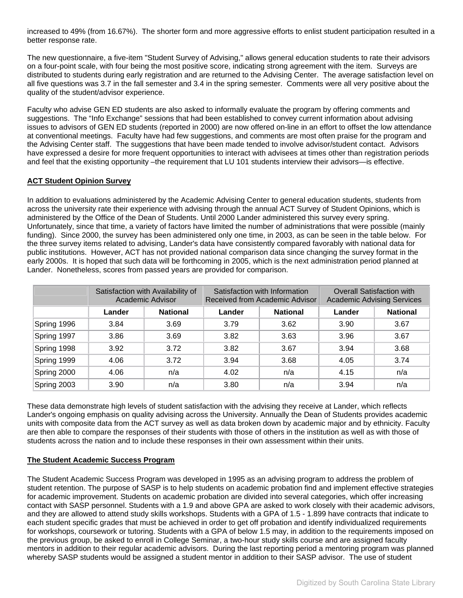increased to 49% (from 16.67%). The shorter form and more aggressive efforts to enlist student participation resulted in a better response rate.

The new questionnaire, a five-item "Student Survey of Advising," allows general education students to rate their advisors on a four-point scale, with four being the most positive score, indicating strong agreement with the item. Surveys are distributed to students during early registration and are returned to the Advising Center. The average satisfaction level on all five questions was 3.7 in the fall semester and 3.4 in the spring semester. Comments were all very positive about the quality of the student/advisor experience.

Faculty who advise GEN ED students are also asked to informally evaluate the program by offering comments and suggestions. The "Info Exchange" sessions that had been established to convey current information about advising issues to advisors of GEN ED students (reported in 2000) are now offered on-line in an effort to offset the low attendance at conventional meetings. Faculty have had few suggestions, and comments are most often praise for the program and the Advising Center staff. The suggestions that have been made tended to involve advisor/student contact. Advisors have expressed a desire for more frequent opportunities to interact with advisees at times other than registration periods and feel that the existing opportunity –the requirement that LU 101 students interview their advisors—is effective.

# **ACT Student Opinion Survey**

In addition to evaluations administered by the Academic Advising Center to general education students, students from across the university rate their experience with advising through the annual ACT Survey of Student Opinions, which is administered by the Office of the Dean of Students. Until 2000 Lander administered this survey every spring. Unfortunately, since that time, a variety of factors have limited the number of administrations that were possible (mainly funding). Since 2000, the survey has been administered only one time, in 2003, as can be seen in the table below. For the three survey items related to advising, Lander's data have consistently compared favorably with national data for public institutions. However, ACT has not provided national comparison data since changing the survey format in the early 2000s. It is hoped that such data will be forthcoming in 2005, which is the next administration period planned at Lander. Nonetheless, scores from passed years are provided for comparison.

|             | Satisfaction with Availability of<br>Academic Advisor |                 | Satisfaction with Information<br>Received from Academic Advisor |                 | <b>Overall Satisfaction with</b><br><b>Academic Advising Services</b> |                 |
|-------------|-------------------------------------------------------|-----------------|-----------------------------------------------------------------|-----------------|-----------------------------------------------------------------------|-----------------|
|             | Lander                                                | <b>National</b> | Lander                                                          | <b>National</b> | Lander                                                                | <b>National</b> |
| Spring 1996 | 3.84                                                  | 3.69            | 3.79                                                            | 3.62            | 3.90                                                                  | 3.67            |
| Spring 1997 | 3.86                                                  | 3.69            | 3.82                                                            | 3.63            | 3.96                                                                  | 3.67            |
| Spring 1998 | 3.92                                                  | 3.72            | 3.82                                                            | 3.67            | 3.94                                                                  | 3.68            |
| Spring 1999 | 4.06                                                  | 3.72            | 3.94                                                            | 3.68            | 4.05                                                                  | 3.74            |
| Spring 2000 | 4.06                                                  | n/a             | 4.02                                                            | n/a             | 4.15                                                                  | n/a             |
| Spring 2003 | 3.90                                                  | n/a             | 3.80                                                            | n/a             | 3.94                                                                  | n/a             |

These data demonstrate high levels of student satisfaction with the advising they receive at Lander, which reflects Lander's ongoing emphasis on quality advising across the University. Annually the Dean of Students provides academic units with composite data from the ACT survey as well as data broken down by academic major and by ethnicity. Faculty are then able to compare the responses of their students with those of others in the institution as well as with those of students across the nation and to include these responses in their own assessment within their units.

# **The Student Academic Success Program**

The Student Academic Success Program was developed in 1995 as an advising program to address the problem of student retention. The purpose of SASP is to help students on academic probation find and implement effective strategies for academic improvement. Students on academic probation are divided into several categories, which offer increasing contact with SASP personnel. Students with a 1.9 and above GPA are asked to work closely with their academic advisors, and they are allowed to attend study skills workshops. Students with a GPA of 1.5 - 1.899 have contracts that indicate to each student specific grades that must be achieved in order to get off probation and identify individualized requirements for workshops, coursework or tutoring. Students with a GPA of below 1.5 may, in addition to the requirements imposed on the previous group, be asked to enroll in College Seminar, a two-hour study skills course and are assigned faculty mentors in addition to their regular academic advisors. During the last reporting period a mentoring program was planned whereby SASP students would be assigned a student mentor in addition to their SASP advisor. The use of student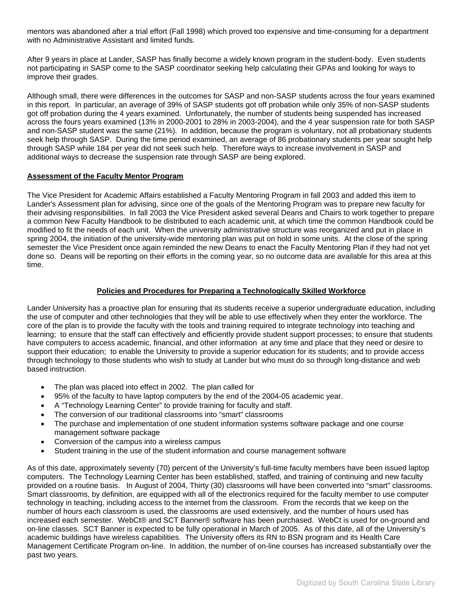<span id="page-16-0"></span>mentors was abandoned after a trial effort (Fall 1998) which proved too expensive and time-consuming for a department with no Administrative Assistant and limited funds.

After 9 years in place at Lander, SASP has finally become a widely known program in the student-body. Even students not participating in SASP come to the SASP coordinator seeking help calculating their GPAs and looking for ways to improve their grades.

Although small, there were differences in the outcomes for SASP and non-SASP students across the four years examined in this report. In particular, an average of 39% of SASP students got off probation while only 35% of non-SASP students got off probation during the 4 years examined. Unfortunately, the number of students being suspended has increased across the fours years examined (13% in 2000-2001 to 28% in 2003-2004), and the 4 year suspension rate for both SASP and non-SASP student was the same (21%). In addition, because the program is voluntary, not all probationary students seek help through SASP. During the time period examined, an average of 86 probationary students per year sought help through SASP while 184 per year did not seek such help. Therefore ways to increase involvement in SASP and additional ways to decrease the suspension rate through SASP are being explored.

## **Assessment of the Faculty Mentor Program**

The Vice President for Academic Affairs established a Faculty Mentoring Program in fall 2003 and added this item to Lander's Assessment plan for advising, since one of the goals of the Mentoring Program was to prepare new faculty for their advising responsibilities. In fall 2003 the Vice President asked several Deans and Chairs to work together to prepare a common New Faculty Handbook to be distributed to each academic unit, at which time the common Handbook could be modified to fit the needs of each unit. When the university administrative structure was reorganized and put in place in spring 2004, the initiation of the university-wide mentoring plan was put on hold in some units. At the close of the spring semester the Vice President once again reminded the new Deans to enact the Faculty Mentoring Plan if they had not yet done so. Deans will be reporting on their efforts in the coming year, so no outcome data are available for this area at this time.

# **Policies and Procedures for Preparing a Technologically Skilled Workforce**

Lander University has a proactive plan for ensuring that its students receive a superior undergraduate education, including the use of computer and other technologies that they will be able to use effectively when they enter the workforce. The core of the plan is to provide the faculty with the tools and training required to integrate technology into teaching and learning; to ensure that the staff can effectively and efficiently provide student support processes; to ensure that students have computers to access academic, financial, and other information at any time and place that they need or desire to support their education; to enable the University to provide a superior education for its students; and to provide access through technology to those students who wish to study at Lander but who must do so through long-distance and web based instruction.

- The plan was placed into effect in 2002. The plan called for
- 95% of the faculty to have laptop computers by the end of the 2004-05 academic year.
- A "Technology Learning Center" to provide training for faculty and staff.
- The conversion of our traditional classrooms into "smart" classrooms
- The purchase and implementation of one student information systems software package and one course management software package
- Conversion of the campus into a wireless campus
- Student training in the use of the student information and course management software

As of this date, approximately seventy (70) percent of the University's full-time faculty members have been issued laptop computers. The Technology Learning Center has been established, staffed, and training of continuing and new faculty provided on a routine basis. In August of 2004, Thirty (30) classrooms will have been converted into "smart" classrooms. Smart classrooms, by definition, are equipped with all of the electronics required for the faculty member to use computer technology in teaching, including access to the internet from the classroom. From the records that we keep on the number of hours each classroom is used, the classrooms are used extensively, and the number of hours used has increased each semester. WebCt® and SCT Banner® software has been purchased. WebCt is used for on-ground and on-line classes. SCT Banner is expected to be fully operational in March of 2005. As of this date, all of the University's academic buildings have wireless capabilities. The University offers its RN to BSN program and its Health Care Management Certificate Program on-line. In addition, the number of on-line courses has increased substantially over the past two years.